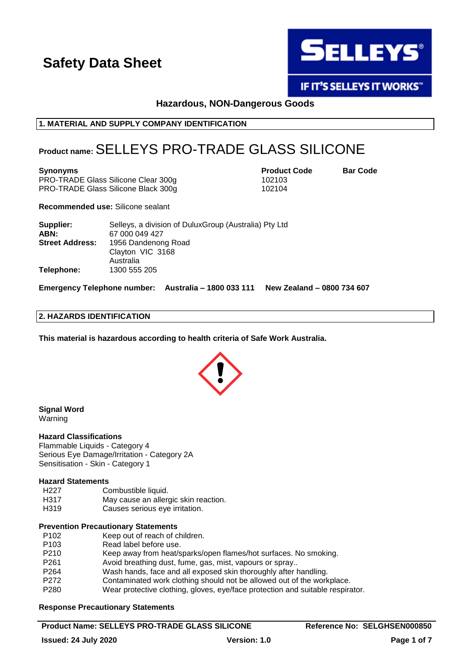

**IF IT'S SELLEYS IT WORKS"** 

# **Hazardous, NON-Dangerous Goods**

# **1. MATERIAL AND SUPPLY COMPANY IDENTIFICATION**

# **Product name:**SELLEYS PRO-TRADE GLASS SILICONE

**Synonyms Product Code Bar Code**

PRO-TRADE Glass Silicone Clear 300g 102103 PRO-TRADE Glass Silicone Black 300g 102104

**Recommended use:** Silicone sealant

| Supplier:<br>ABN:      | Selleys, a division of Dulux Group (Australia) Pty Ltd<br>67 000 049 427 |
|------------------------|--------------------------------------------------------------------------|
| <b>Street Address:</b> | 1956 Dandenong Road<br>Clayton VIC 3168<br>Australia                     |
| Telephone:             | 1300 555 205                                                             |

**Emergency Telephone number: Australia – 1800 033 111 New Zealand – 0800 734 607**

# **2. HAZARDS IDENTIFICATION**

**This material is hazardous according to health criteria of Safe Work Australia.**



#### **Signal Word** Warning

### **Hazard Classifications**

Flammable Liquids - Category 4 Serious Eye Damage/Irritation - Category 2A Sensitisation - Skin - Category 1

# **Hazard Statements**

| H227 | Combustible liquid.                  |
|------|--------------------------------------|
| H317 | May cause an allergic skin reaction. |
| H319 | Causes serious eye irritation.       |

### **Prevention Precautionary Statements**

| P <sub>102</sub> | Keep out of reach of children.                                                 |
|------------------|--------------------------------------------------------------------------------|
| P <sub>103</sub> | Read label before use.                                                         |
| P210             | Keep away from heat/sparks/open flames/hot surfaces. No smoking.               |
| P <sub>261</sub> | Avoid breathing dust, fume, gas, mist, vapours or spray                        |
| P <sub>264</sub> | Wash hands, face and all exposed skin thoroughly after handling.               |
| P272             | Contaminated work clothing should not be allowed out of the workplace.         |
| P <sub>280</sub> | Wear protective clothing, gloves, eye/face protection and suitable respirator. |

# **Response Precautionary Statements**

# **Product Name: SELLEYS PRO-TRADE GLASS SILICONE Reference No: SELGHSEN000850**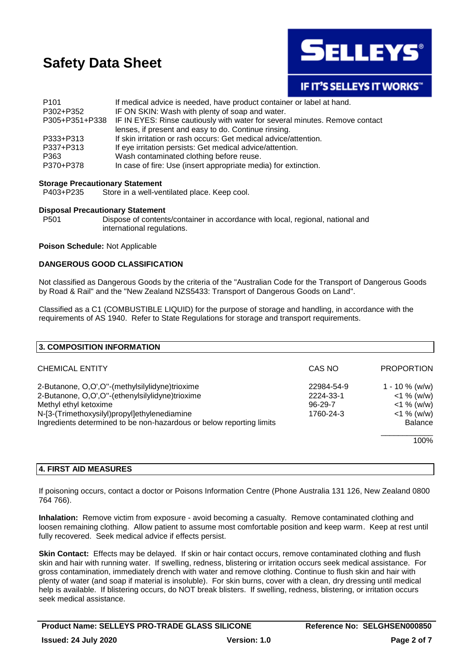

**IF IT'S SELLEYS IT WORKS"** 

| P <sub>101</sub> | If medical advice is needed, have product container or label at hand.                      |  |
|------------------|--------------------------------------------------------------------------------------------|--|
| P302+P352        | IF ON SKIN: Wash with plenty of soap and water.                                            |  |
|                  | P305+P351+P338 IF IN EYES: Rinse cautiously with water for several minutes. Remove contact |  |
|                  | lenses, if present and easy to do. Continue rinsing.                                       |  |
| P333+P313        | If skin irritation or rash occurs: Get medical advice/attention.                           |  |
| P337+P313        | If eye irritation persists: Get medical advice/attention.                                  |  |
| P363             | Wash contaminated clothing before reuse.                                                   |  |
| P370+P378        | In case of fire: Use (insert appropriate media) for extinction.                            |  |

### **Storage Precautionary Statement**

P403+P235 Store in a well-ventilated place. Keep cool.

### **Disposal Precautionary Statement**

P501 Dispose of contents/container in accordance with local, regional, national and international regulations.

### **Poison Schedule:** Not Applicable

# **DANGEROUS GOOD CLASSIFICATION**

Not classified as Dangerous Goods by the criteria of the "Australian Code for the Transport of Dangerous Goods by Road & Rail" and the "New Zealand NZS5433: Transport of Dangerous Goods on Land".

Classified as a C1 (COMBUSTIBLE LIQUID) for the purpose of storage and handling, in accordance with the requirements of AS 1940. Refer to State Regulations for storage and transport requirements.

| <b>3. COMPOSITION INFORMATION</b>                                    |               |                   |
|----------------------------------------------------------------------|---------------|-------------------|
| <b>CHEMICAL ENTITY</b>                                               | CAS NO        | <b>PROPORTION</b> |
| 2-Butanone, O,O',O"-(methylsilylidyne)trioxime                       | 22984-54-9    | $1 - 10 \%$ (w/w) |
| 2-Butanone, O,O',O"-(ethenylsilylidyne)trioxime                      | 2224-33-1     | $<$ 1 % (w/w)     |
| Methyl ethyl ketoxime                                                | $96 - 29 - 7$ | $<$ 1 % (w/w)     |
| N-[3-(Trimethoxysilyl)propyl]ethylenediamine                         | 1760-24-3     | $<$ 1 % (w/w)     |
| Ingredients determined to be non-hazardous or below reporting limits |               | <b>Balance</b>    |
|                                                                      |               | 100%              |

# **4. FIRST AID MEASURES**

If poisoning occurs, contact a doctor or Poisons Information Centre (Phone Australia 131 126, New Zealand 0800 764 766).

**Inhalation:** Remove victim from exposure - avoid becoming a casualty. Remove contaminated clothing and loosen remaining clothing. Allow patient to assume most comfortable position and keep warm. Keep at rest until fully recovered. Seek medical advice if effects persist.

**Skin Contact:** Effects may be delayed. If skin or hair contact occurs, remove contaminated clothing and flush skin and hair with running water. If swelling, redness, blistering or irritation occurs seek medical assistance. For gross contamination, immediately drench with water and remove clothing. Continue to flush skin and hair with plenty of water (and soap if material is insoluble). For skin burns, cover with a clean, dry dressing until medical help is available. If blistering occurs, do NOT break blisters. If swelling, redness, blistering, or irritation occurs seek medical assistance.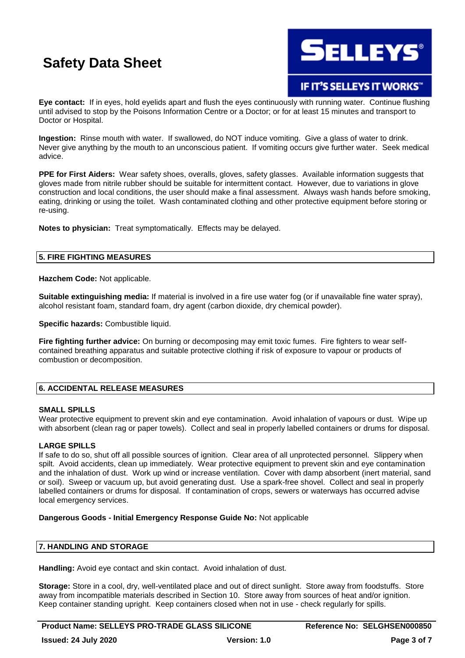

# **IF IT'S SELLEYS IT WORKS"**

**Eye contact:** If in eyes, hold eyelids apart and flush the eyes continuously with running water. Continue flushing until advised to stop by the Poisons Information Centre or a Doctor; or for at least 15 minutes and transport to Doctor or Hospital.

**Ingestion:** Rinse mouth with water. If swallowed, do NOT induce vomiting. Give a glass of water to drink. Never give anything by the mouth to an unconscious patient. If vomiting occurs give further water. Seek medical advice.

**PPE for First Aiders:** Wear safety shoes, overalls, gloves, safety glasses. Available information suggests that gloves made from nitrile rubber should be suitable for intermittent contact. However, due to variations in glove construction and local conditions, the user should make a final assessment. Always wash hands before smoking, eating, drinking or using the toilet. Wash contaminated clothing and other protective equipment before storing or re-using.

**Notes to physician:** Treat symptomatically. Effects may be delayed.

# **5. FIRE FIGHTING MEASURES**

**Hazchem Code:** Not applicable.

**Suitable extinguishing media:** If material is involved in a fire use water fog (or if unavailable fine water spray), alcohol resistant foam, standard foam, dry agent (carbon dioxide, dry chemical powder).

**Specific hazards:** Combustible liquid.

**Fire fighting further advice:** On burning or decomposing may emit toxic fumes. Fire fighters to wear selfcontained breathing apparatus and suitable protective clothing if risk of exposure to vapour or products of combustion or decomposition.

# **6. ACCIDENTAL RELEASE MEASURES**

### **SMALL SPILLS**

Wear protective equipment to prevent skin and eye contamination. Avoid inhalation of vapours or dust. Wipe up with absorbent (clean rag or paper towels). Collect and seal in properly labelled containers or drums for disposal.

# **LARGE SPILLS**

If safe to do so, shut off all possible sources of ignition. Clear area of all unprotected personnel. Slippery when spilt. Avoid accidents, clean up immediately. Wear protective equipment to prevent skin and eye contamination and the inhalation of dust. Work up wind or increase ventilation. Cover with damp absorbent (inert material, sand or soil). Sweep or vacuum up, but avoid generating dust. Use a spark-free shovel. Collect and seal in properly labelled containers or drums for disposal. If contamination of crops, sewers or waterways has occurred advise local emergency services.

### **Dangerous Goods - Initial Emergency Response Guide No:** Not applicable

# **7. HANDLING AND STORAGE**

**Handling:** Avoid eye contact and skin contact. Avoid inhalation of dust.

**Storage:** Store in a cool, dry, well-ventilated place and out of direct sunlight. Store away from foodstuffs. Store away from incompatible materials described in Section 10. Store away from sources of heat and/or ignition. Keep container standing upright. Keep containers closed when not in use - check regularly for spills.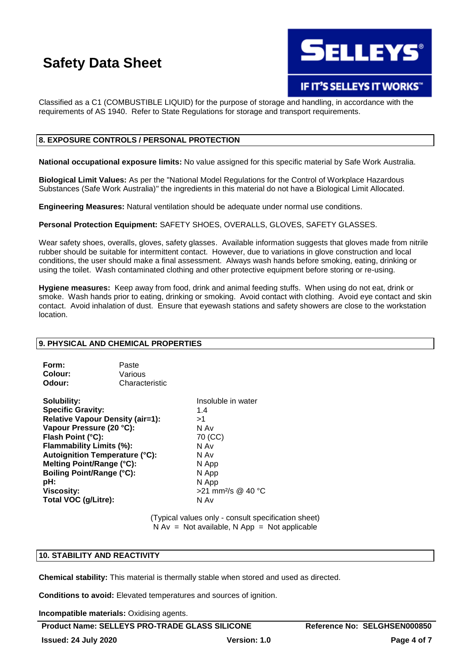

# IF IT'S SELLEYS IT WORKS"

Classified as a C1 (COMBUSTIBLE LIQUID) for the purpose of storage and handling, in accordance with the requirements of AS 1940. Refer to State Regulations for storage and transport requirements.

# **8. EXPOSURE CONTROLS / PERSONAL PROTECTION**

**National occupational exposure limits:** No value assigned for this specific material by Safe Work Australia.

**Biological Limit Values:** As per the "National Model Regulations for the Control of Workplace Hazardous Substances (Safe Work Australia)" the ingredients in this material do not have a Biological Limit Allocated.

**Engineering Measures:** Natural ventilation should be adequate under normal use conditions.

**Personal Protection Equipment:** SAFETY SHOES, OVERALLS, GLOVES, SAFETY GLASSES.

Wear safety shoes, overalls, gloves, safety glasses. Available information suggests that gloves made from nitrile rubber should be suitable for intermittent contact. However, due to variations in glove construction and local conditions, the user should make a final assessment. Always wash hands before smoking, eating, drinking or using the toilet. Wash contaminated clothing and other protective equipment before storing or re-using.

**Hygiene measures:** Keep away from food, drink and animal feeding stuffs. When using do not eat, drink or smoke. Wash hands prior to eating, drinking or smoking. Avoid contact with clothing. Avoid eye contact and skin contact. Avoid inhalation of dust. Ensure that eyewash stations and safety showers are close to the workstation location.

### **9. PHYSICAL AND CHEMICAL PROPERTIES**

| Form:   | Paste          |
|---------|----------------|
| Colour: | Various        |
| Odour:  | Characteristic |

**Solubility:** Insoluble in water **Specific Gravity:** 1.4 **Relative Vapour Density (air=1):** >1 **Vapour Pressure (20 °C):** N Av **Flash Point (°C):** 70 (CC) **Flammability Limits (%):** N Av **Autoignition Temperature (°C):** N Av **Melting Point/Range (°C):** N App **Boiling Point/Range (°C):** N App **pH:** N App **Viscosity:**  $>21$  mm<sup>2</sup>/s @ 40 °C **Total VOC (g/Litre):** N Av

(Typical values only - consult specification sheet)  $N Av = Not available, N App = Not applicable$ 

# **10. STABILITY AND REACTIVITY**

**Chemical stability:** This material is thermally stable when stored and used as directed.

**Conditions to avoid:** Elevated temperatures and sources of ignition.

**Incompatible materials:** Oxidising agents.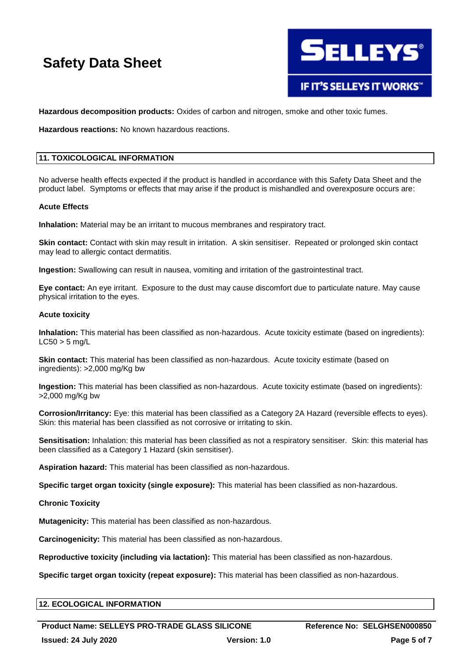

**Hazardous decomposition products:** Oxides of carbon and nitrogen, smoke and other toxic fumes.

**Hazardous reactions:** No known hazardous reactions.

# **11. TOXICOLOGICAL INFORMATION**

No adverse health effects expected if the product is handled in accordance with this Safety Data Sheet and the product label. Symptoms or effects that may arise if the product is mishandled and overexposure occurs are:

### **Acute Effects**

**Inhalation:** Material may be an irritant to mucous membranes and respiratory tract.

**Skin contact:** Contact with skin may result in irritation. A skin sensitiser. Repeated or prolonged skin contact may lead to allergic contact dermatitis.

**Ingestion:** Swallowing can result in nausea, vomiting and irritation of the gastrointestinal tract.

**Eye contact:** An eye irritant. Exposure to the dust may cause discomfort due to particulate nature. May cause physical irritation to the eyes.

### **Acute toxicity**

**Inhalation:** This material has been classified as non-hazardous. Acute toxicity estimate (based on ingredients):  $LC50 > 5$  mg/L

**Skin contact:** This material has been classified as non-hazardous. Acute toxicity estimate (based on ingredients): >2,000 mg/Kg bw

**Ingestion:** This material has been classified as non-hazardous. Acute toxicity estimate (based on ingredients): >2,000 mg/Kg bw

**Corrosion/Irritancy:** Eye: this material has been classified as a Category 2A Hazard (reversible effects to eyes). Skin: this material has been classified as not corrosive or irritating to skin.

**Sensitisation:** Inhalation: this material has been classified as not a respiratory sensitiser. Skin: this material has been classified as a Category 1 Hazard (skin sensitiser).

**Aspiration hazard:** This material has been classified as non-hazardous.

**Specific target organ toxicity (single exposure):** This material has been classified as non-hazardous.

### **Chronic Toxicity**

**Mutagenicity:** This material has been classified as non-hazardous.

**Carcinogenicity:** This material has been classified as non-hazardous.

**Reproductive toxicity (including via lactation):** This material has been classified as non-hazardous.

**Specific target organ toxicity (repeat exposure):** This material has been classified as non-hazardous.

# **12. ECOLOGICAL INFORMATION**

**Product Name: SELLEYS PRO-TRADE GLASS SILICONE Reference No: SELGHSEN000850 Issued: 24 July 2020 Version: 1.0 Page 5 of 7**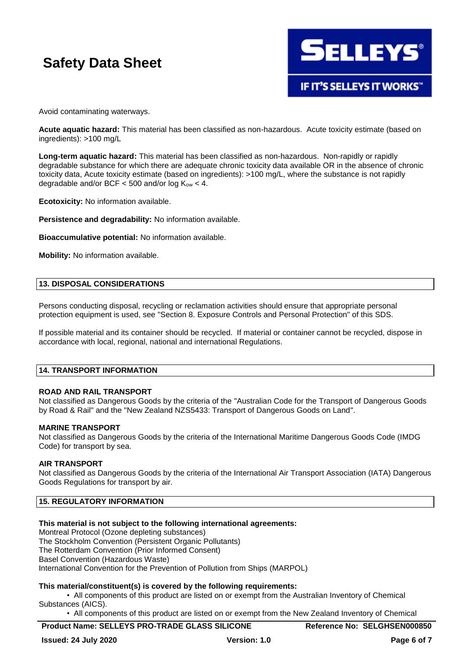

Avoid contaminating waterways.

**Acute aquatic hazard:** This material has been classified as non-hazardous. Acute toxicity estimate (based on ingredients): >100 mg/L

**Long-term aquatic hazard:** This material has been classified as non-hazardous. Non-rapidly or rapidly degradable substance for which there are adequate chronic toxicity data available OR in the absence of chronic toxicity data, Acute toxicity estimate (based on ingredients): >100 mg/L, where the substance is not rapidly degradable and/or BCF  $<$  500 and/or log K<sub>ow</sub>  $<$  4.

**Ecotoxicity:** No information available.

**Persistence and degradability:** No information available.

**Bioaccumulative potential:** No information available.

**Mobility:** No information available.

### **13. DISPOSAL CONSIDERATIONS**

Persons conducting disposal, recycling or reclamation activities should ensure that appropriate personal protection equipment is used, see "Section 8. Exposure Controls and Personal Protection" of this SDS.

If possible material and its container should be recycled. If material or container cannot be recycled, dispose in accordance with local, regional, national and international Regulations.

# **14. TRANSPORT INFORMATION**

### **ROAD AND RAIL TRANSPORT**

Not classified as Dangerous Goods by the criteria of the "Australian Code for the Transport of Dangerous Goods by Road & Rail" and the "New Zealand NZS5433: Transport of Dangerous Goods on Land".

### **MARINE TRANSPORT**

Not classified as Dangerous Goods by the criteria of the International Maritime Dangerous Goods Code (IMDG Code) for transport by sea.

### **AIR TRANSPORT**

Not classified as Dangerous Goods by the criteria of the International Air Transport Association (IATA) Dangerous Goods Regulations for transport by air.

# **15. REGULATORY INFORMATION**

### **This material is not subject to the following international agreements:**

Montreal Protocol (Ozone depleting substances) The Stockholm Convention (Persistent Organic Pollutants) The Rotterdam Convention (Prior Informed Consent) Basel Convention (Hazardous Waste) International Convention for the Prevention of Pollution from Ships (MARPOL)

### **This material/constituent(s) is covered by the following requirements:**

• All components of this product are listed on or exempt from the Australian Inventory of Chemical Substances (AICS).

• All components of this product are listed on or exempt from the New Zealand Inventory of Chemical

# **Product Name: SELLEYS PRO-TRADE GLASS SILICONE Reference No: SELGHSEN000850**